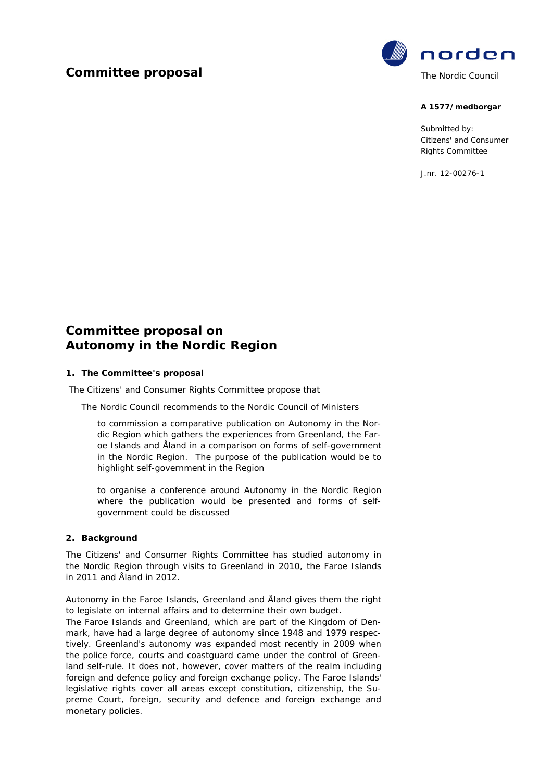## **Committee proposal**



#### **A 1577/medborgar**

Submitted by: Citizens' and Consumer Rights Committee

J.nr. 12-00276-1

# **Committee proposal on Autonomy in the Nordic Region**

## **1. The Committee's proposal**

The Citizens' and Consumer Rights Committee propose that

The Nordic Council recommends to the Nordic Council of Ministers

to commission a comparative publication on Autonomy in the Nordic Region which gathers the experiences from Greenland, the Faroe Islands and Åland in a comparison on forms of self-government in the Nordic Region. The purpose of the publication would be to highlight self-government in the Region

to organise a conference around Autonomy in the Nordic Region where the publication would be presented and forms of selfgovernment could be discussed

#### **2. Background**

The Citizens' and Consumer Rights Committee has studied autonomy in the Nordic Region through visits to Greenland in 2010, the Faroe Islands in 2011 and Åland in 2012.

Autonomy in the Faroe Islands, Greenland and Åland gives them the right to legislate on internal affairs and to determine their own budget.

The Faroe Islands and Greenland, which are part of the Kingdom of Denmark, have had a large degree of autonomy since 1948 and 1979 respectively. Greenland's autonomy was expanded most recently in 2009 when the police force, courts and coastguard came under the control of Greenland self-rule. It does not, however, cover matters of the realm including foreign and defence policy and foreign exchange policy. The Faroe Islands' legislative rights cover all areas except constitution, citizenship, the Supreme Court, foreign, security and defence and foreign exchange and monetary policies.